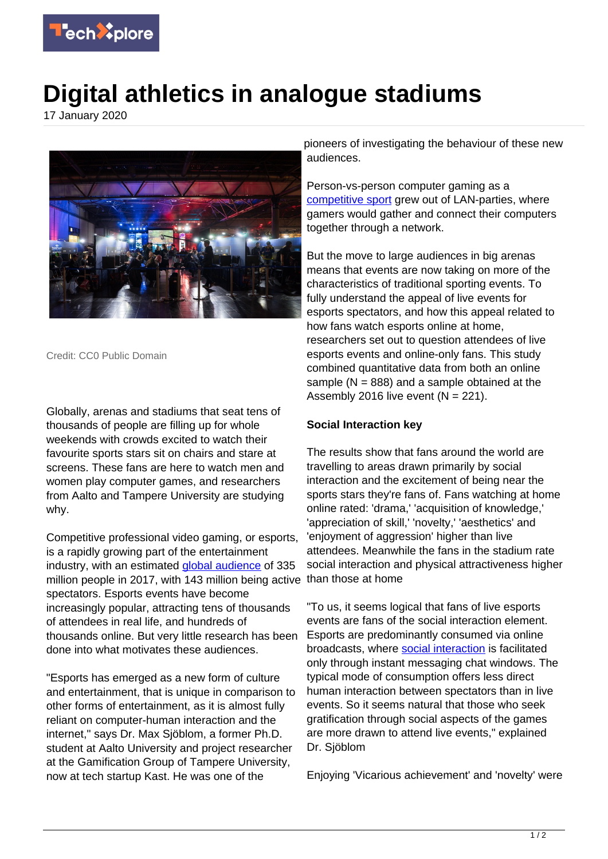

## **Digital athletics in analogue stadiums**

17 January 2020



Credit: CC0 Public Domain

Globally, arenas and stadiums that seat tens of thousands of people are filling up for whole weekends with crowds excited to watch their favourite sports stars sit on chairs and stare at screens. These fans are here to watch men and women play computer games, and researchers from Aalto and Tampere University are studying why.

Competitive professional video gaming, or esports, is a rapidly growing part of the entertainment industry, with an estimated [global audience](https://techxplore.com/tags/global+audience/) of 335 million people in 2017, with 143 million being active than those at home spectators. Esports events have become increasingly popular, attracting tens of thousands of attendees in real life, and hundreds of thousands online. But very little research has been done into what motivates these audiences.

"Esports has emerged as a new form of culture and entertainment, that is unique in comparison to other forms of entertainment, as it is almost fully reliant on computer-human interaction and the internet," says Dr. Max Sjöblom, a former Ph.D. student at Aalto University and project researcher at the Gamification Group of Tampere University, now at tech startup Kast. He was one of the

pioneers of investigating the behaviour of these new audiences.

Person-vs-person computer gaming as a [competitive sport](https://techxplore.com/tags/competitive+sport/) grew out of LAN-parties, where gamers would gather and connect their computers together through a network.

But the move to large audiences in big arenas means that events are now taking on more of the characteristics of traditional sporting events. To fully understand the appeal of live events for esports spectators, and how this appeal related to how fans watch esports online at home, researchers set out to question attendees of live esports events and online-only fans. This study combined quantitative data from both an online sample ( $N = 888$ ) and a sample obtained at the Assembly 2016 live event  $(N = 221)$ .

## **Social Interaction key**

The results show that fans around the world are travelling to areas drawn primarily by social interaction and the excitement of being near the sports stars they're fans of. Fans watching at home online rated: 'drama,' 'acquisition of knowledge,' 'appreciation of skill,' 'novelty,' 'aesthetics' and 'enjoyment of aggression' higher than live attendees. Meanwhile the fans in the stadium rate social interaction and physical attractiveness higher

"To us, it seems logical that fans of live esports events are fans of the social interaction element. Esports are predominantly consumed via online broadcasts, where **social interaction** is facilitated only through instant messaging chat windows. The typical mode of consumption offers less direct human interaction between spectators than in live events. So it seems natural that those who seek gratification through social aspects of the games are more drawn to attend live events," explained Dr. Sjöblom

Enjoying 'Vicarious achievement' and 'novelty' were